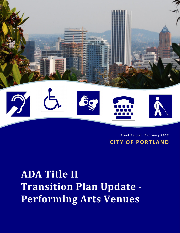

**Final Report: February 201 7 CITY OF PORTLAND**

**ADA Title II Transition Plan Update - Performing Arts Venues**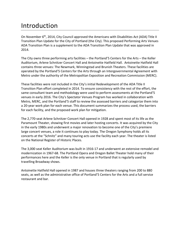# Introduction

On November  $6<sup>th</sup>$ , 2014, City Council approved the Americans with Disabilities Act (ADA) Title II Transition Plan Update for the City of Portland (the City). This proposed Performing Arts Venues ADA Transition Plan is a supplement to the ADA Transition Plan Update that was approved in 2014.

The City owns three performing arts facilities – the Portland'5 Centers for the Arts – the Keller Auditorium, Arlene Schnitzer Concert Hall and Antoinette Hatfield Hall. Antoinette Hatfield Hall contains three venues: The Newmark, Winningstad and Brunish Theaters. These facilities are operated by the Portland'5 Centers for the Arts through an Intergovernmental Agreement with Metro under the authority of the Metropolitan Exposition and Recreation Commission (MERC).

These facilities were not included in the City's initial Redevelopment of the ADA Title II Transition Plan effort completed in 2014. To ensure consistency with the rest of the effort, the same consultant team and methodology were used to perform assessments at the Portland'5 venues in early 2016. The City's Spectator Venues Program has worked in collaboration with Metro, MERC, and the Portland'5 staff to review the assessed barriers and categorize them into a 20-year work plan for each venue. This document summarizes the process used, the barriers for each facility, and the proposed work plan for mitigation.

The 2,770-seat Arlene Schnitzer Concert Hall opened in 1928 and spent most of its life as the Paramount Theater, showing first movies and later hosting concerts. It was acquired by the City in the early 1980s and underwent a major renovation to become one of the City's premiere large concert venues, a role it continues to play today. The Oregon Symphony holds all its concerts at the "Schnitz" and many touring acts use the facility each year. The theater is listed on the National Register of Historic Places.

The 3,000 seat Keller Auditorium was built in 1916-17 and underwent an extensive remodel and modernization in 1967-68. The Portland Opera and Oregon Ballet Theater hold many of their performances here and the Keller is the only venue in Portland that is regularly used by travelling Broadway shows.

Antoinette Hatfield Hall opened in 1987 and houses three theaters ranging from 200 to 880 seats, as well as the administrative office of Portland'5 Centers for the Arts and a full service restaurant and bar.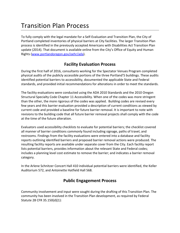# Transition Plan Process

To fully comply with the legal mandate for a Self-Evaluation and Transition Plan, the City of Portland completed inventories of physical barriers at City facilities. The larger Transition Plan process is identified in the previously accepted Americans with Disabilities Act Transition Plan update (2014). That document is available online from the City's Office of Equity and Human Rights [\(www.portlandoregon.gov/oehr/ada\)](http://www.portlandoregon.gov/oehr/ada).

### **Facility Evaluation Process**

During the first half of 2016, consultants working for the Spectator Venues Program completed physical audits of the publicly accessible portions of the three Portland'5 buildings. These audits identified potential barriers to accessibility, documented the applicable State and Federal standards, and provided initial recommendations for alterations in order to meet the standards.

The facility evaluations were conducted using the ADA 2010 Standards and the 2010 Oregon Structural Specialty Code Chapter 11 Accessibility. When one of the codes was more stringent than the other, the more rigorous of the codes was applied. Building codes are revised every few years and this barrier evaluation provided a description of current conditions as viewed by current code and provided a baseline for future barrier removal. It is important to note with revisions to the building code that all future barrier removal projects shall comply with the code at the time of the future alteration.

Evaluators used accessibility checklists to evaluate for potential barriers; the checklist covered all manner of barrier conditions commonly found including signage, paths of travel, and restrooms. Findings from the facility evaluations were entered into a database and facility reports outlining identified barriers and proposed barrier removal actions were produced. The resulting facility reports are available under separate cover from the City. Each facility report lists potential barriers, provides information about the relevant State and Federal codes; includes a planning level cost estimate to remove the barrier; and indicates a barrier removal category.

In the Arlene Schnitzer Concert Hall 410 individual potential barriers were identified, the Keller Auditorium 572, and Antoinette Hatfield Hall 568.

## **Public Engagement Process**

Community involvement and input were sought during the drafting of this Transition Plan. The community has been involved in the Transition Plan development, as required by Federal Statute 28 CFR 35.150(d)(1):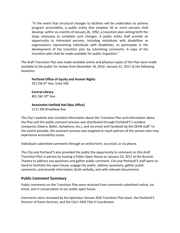"In the event that structural changes to facilities will be undertaken to achieve program accessibility, a public entity that employs 50 or more persons shall develop, within six months of January 26, 1992, a transition plan setting forth the steps necessary to complete such changes. A public entity shall provide an opportunity to interested persons, including individuals with disabilities or organizations representing individuals with disabilities, to participate in the development of the transition plan by submitting comments. A copy of the transition plan shall be made available for public inspection."

The draft Transition Plan was made available online and physical copies of the Plan were made available to the public for review from December 16, 2016 -January 31, 2017 at the following locations:

#### **Portland Office of Equity and Human Rights** 421 SW 6th Ave, Suite 500

**Central Library** 801 SW 10<sup>th</sup> Ave

#### **Antoinette Hatfield Hall (Box Office)** 1111 SW Broadway Ave

The City's website also included information about the Transition Plan and information about the Plan and the public outreach process was distributed through Portland'5's resident companies (Opera, Ballet, Symphony, etc.), and via email and Facebook by the OEHR staff. To the extent possible, the outreach process was targeted to reach patrons of the venues who may experience accessibility issues.

Individuals submitted comments through an online form, via email, or via phone.

The City and Portland'5 also provided the public the opportunity to comment on this draft Transition Plan in person by hosting a Public Open House on January 24, 2017 at the Brunish Theatre to address any questions and gather public comment. City and Portland'5 staff were on hand to facilitate the open house, engage the public, address questions, gather public comments, and provide information (both verbally, and with relevant documents).

### **Public Comment Summary**

Public comments on the Transition Plan were received from comments submitted online, via email, and in conversation at our public open house.

Comments were reviewed by the Spectator Venues ADA Transition Plan team, the Portland'5 Director of Event Services, and the City's ADA Title II Coordinator.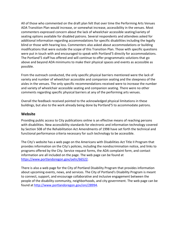All of those who commented on the draft plan felt that over time the Performing Arts Venues ADA Transition Plan would increase, or somewhat increase, accessibility in the venues. Most commenters expressed concern about the lack of wheelchair accessible seating/variety of seating options available for disabled patrons. Several respondents and attendees asked for additional information regarding accommodations for specific disabilities including the legally blind or those with hearing loss. Commenters also asked about accommodations or building modifications that were outside the scope of this Transition Plan. Those with specific questions were put in touch with and encouraged to speak with Portland'5 directly for accommodations. The Portland'5 staff has offered and will continue to offer programmatic solutions that go above and beyond ADA minimums to make their physical spaces and events as accessible as possible.

From the outreach conducted, the only specific physical barriers mentioned were the lack of variety and number of wheelchair accessible and companion seating and the steepness of the aisles in the venues. The only specific recommendations received were to increase the number and variety of wheelchair accessible seating and companion seating. There were no other comments regarding specific physical barriers at any of the performing arts venues.

Overall the feedback received pointed to the acknowledged physical limitations in these buildings, but also to the work already being done by Portland'5 to accommodate patrons.

#### **Website**

Providing public access to City publications online is an effective means of reaching persons with disabilities. New accessibility standards for electronic and information technology covered by Section 508 of the Rehabilitation Act Amendments of 1998 have set forth the technical and functional performance criteria necessary for such technology to be accessible.

The City's website has a web page on the Americans with Disabilities Act Title II Program that provides information on the City's policies, including the nondiscrimination notice, and links to programs offered by the City. Service request forms, the ADA complaint form, and contact information are all included on the page. The web page can be found at [https://www.portlandoregon.gov/oehr/66522.](https://www.portlandoregon.gov/oehr/66522)

There is also a web page for the City of Portland Disability Program that provides information about upcoming events, news, and services. The City of Portland's Disability Program is meant to connect, support, and encourage collaborative and inclusive engagement between the people of the disability community, neighborhoods, and city government. The web page can be found at [http://www.portlandoregon.gov/oni/28994.](http://www.portlandoregon.gov/oni/28994)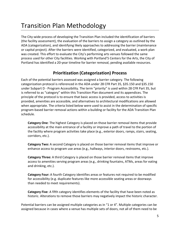# Transition Plan Methodology

The City-wide process of developing the Transition Plan included the identification of barriers (the facility assessment), the evaluation of the barriers to assign a category as outlined by the ADA (categorization), and identifying likely approaches to addressing the barrier (maintenance or capital project). After the barriers were identified, categorized, and evaluated, a work plan was created. This effort to evaluate the City's performing arts venues followed the same process used for other City facilities. Working with Portland'5 Centers for the Arts, the City of Portland has identified a 20-year timeline for barrier removal, pending available resources.

## **Prioritization (Categorization) Process**

Each of the potential barriers assessed was assigned a barrier category. The following categorization protocol is referenced in the ADA under 28 CFR Part 35, §35.150 and §35.150 under Subpart D - Program Accessibility. The term "priority" is used within 28 CFR Part 35, but is referred to as "category" within this Transition Plan document and its appendices. The principle of the protocol is to ensure that basic access is provided, access to activities is provided, amenities are accessible, and alternatives to architectural modifications are allowed when appropriate. The criteria listed below were used to assist in the determination of specific program-based barrier removal actions within a building or facility for the ADA Transition Plan schedule.

**Category One**: The highest Category is placed on those barrier removal items that provide accessibility at the main entrance of a facility or improve a path of travel to the portion of the facility where program activities take place (e.g., exterior doors, ramps, stairs, seating, corridors, etc.).

**Category Two:** A second Category is placed on those barrier removal items that improve or enhance access to program use areas (e.g., hallways, interior doors, restrooms, etc.).

**Category Three:** A third Category is placed on those barrier removal items that improve access to amenities serving program areas (e.g., drinking fountains, ATMs, areas for eating and drinking, etc.).

**Category Four:** A fourth Category identifies areas or features not required to be modified for accessibility (e.g. duplicate features like more accessible seating areas or doorways than needed to meet requirements).

**Category Five**: A fifth category identifies elements of the facility that have been noted as historic. Alterations to remove those barriers may negatively impact the historic character.

Potential barriers can be assigned multiple categories as in "1 or 4". Multiple categories can be assigned because in cases where a venue has multiple sets of doors, not all of them need to be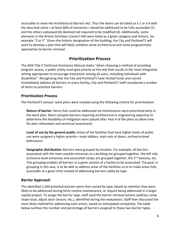accessible to meet the Architectural Barriers Act. Thus the doors can be listed as a 1 or a 4 with the idea that some—at least 60% of entrances—would be addressed to be fully accessible (1) and the others subsequently deemed not required to be modified (4). Additionally, some elements in the Arlene Schnitzer Concert Hall were listed as a given category and historic, for example "2 or 5". Given the historic designation of the building, the City and Portland'5 will work to develop a plan that will likely combine some architectural and some programmatic approaches to barrier removal.

### **Prioritization Process**

The ADA Title II Technical Assistance Manual states "when choosing a method of providing program access, a public entity must give priority to the one that results in the most integrated setting appropriate to encourage interaction among all users, including individuals with disabilities". Recognizing that the City and Portland'5 have limited funds and cannot immediately address all barriers in every facility, City and Portland'5 staff considered a number of items to prioritize barriers.

### **Prioritization Process**

The Portland'5 venues' work plans were created using the following criteria for prioritization:

**Nature of barrier:** Items that could be addressed via maintenance were prioritized early in the work plan. More complex barriers requiring architectural or engineering expertise to determine the feasibility of mitigation were placed after Year 4 of the plans to allow time for plan refinement and technical assessment;

**Level of use by the general public:** Areas of the facilities that have higher levels of public use were assigned a higher priority—main lobbies, main sets of doors, orchestra-level bathrooms;

**Geographic distribution:** Barriers were grouped by location. For example, all barriers associated with the main outside entrances to a building are grouped together, the left side orchestra-level entrances and associated ramps are grouped together, the  $2^{nd}$  balcony, etc. This grouping enables all barriers in a given section of a facility to be associated. The goal, in grouping in this way, is to be able to address areas of the facilities so as to make areas fully accessible at a given time instead of addressing barriers solely by type.

### **Barrier Approach**

The identified 1,550 potential barriers were then sorted by type, based on whether they were likely to be addressed during fairly routine maintenance, or require being addressed in a larger capital project. To assign the barrier type, staff used the barrier removal actions (address ramp slope issue, adjust door closure, etc.), identified during the evaluations. Staff then discussed the most likely method for addressing each action, based on anticipated complexity. The table below outlines the number and percentage of barriers assigned to these two barrier types.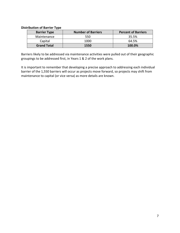#### **Distribution of Barrier Type**

| <b>Barrier Type</b> | <b>Number of Barriers</b> | <b>Percent of Barriers</b> |
|---------------------|---------------------------|----------------------------|
| Maintenance         | 550                       | 35.5%                      |
| Capital             | 1000                      | 64.5%                      |
| <b>Grand Total</b>  | 1550                      | 100.0%                     |

Barriers likely to be addressed via maintenance activities were pulled out of their geographic groupings to be addressed first, in Years 1 & 2 of the work plans.

It is important to remember that developing a precise approach to addressing each individual barrier of the 1,550 barriers will occur as projects move forward, so projects may shift from maintenance to capital (or vice versa) as more details are known.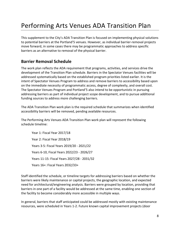# Performing Arts Venues ADA Transition Plan

This supplement to the City's ADA Transition Plan is focused on implementing physical solutions to potential barriers at the Portland'5 venues. However, as individual barrier-removal projects move forward, in some cases there may be programmatic approaches to address specific barriers as an alternative to removal of the physical barrier.

## **Barrier Removal Schedule**

The work plan reflects the ADA requirement that programs, activities, and services drive the development of the Transition Plan schedule. Barriers in the Spectator Venues facilities will be addressed systematically based on the established program priorities listed earlier. It is the intent of Spectator Venues Program to address and remove barriers to accessibility based upon on the immediate necessity of programmatic access, degree of complexity, and overall cost. The Spectator Venues Program and Portland'5 also intend to be opportunistic in pursuing addressing barriers as part of individual project scope development, and to pursue additional funding sources to address more challenging barriers.

The ADA Transition Plan work plan is the required schedule that summarizes when identified accessibility barriers will be removed, pending available resources.

The Performing Arts Venues ADA Transition Plan work plan will represent the following schedule timeline:

Year 1: Fiscal Year 2017/18 Year 2: Fiscal Year 2018/19 Years 3-5: Fiscal Years 2019/20 - 2021/22 Years 6-10, Fiscal Years 2022/23 - 2026/27 Years 11-15: Fiscal Years 2027/28 - 2031/32 Years 16+: Fiscal Years 2032/33+

Staff identified the schedule, or timeline targets for addressing barriers based on whether the barriers were likely maintenance or capital projects, the geographic location, and expected need for architectural/engineering analysis. Barriers were grouped by location, providing that barriers in one part of a facility would be addressed at the same time, enabling one section of the facility to become considerably more accessible in multiple ways.

In general, barriers that staff anticipated could be addressed mostly with existing maintenance resources, were scheduled in Years 1-2. Future known capital improvement projects (door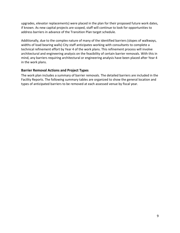upgrades, elevator replacements) were placed in the plan for their proposed future work dates, if known. As new capital projects are scoped, staff will continue to look for opportunities to address barriers in advance of the Transition Plan target schedule.

Additionally, due to the complex nature of many of the identified barriers (slopes of walkways, widths of load bearing walls) City staff anticipates working with consultants to complete a technical refinement effort by Year 4 of the work plans. This refinement process will involve architectural and engineering analysis on the feasibility of certain barrier removals. With this in mind, any barriers requiring architectural or engineering analysis have been placed after Year 4 in the work plans.

#### **Barrier Removal Actions and Project Types**

The work plan includes a summary of barrier removals. The detailed barriers are included in the Facility Reports. The following summary tables are organized to show the general location and types of anticipated barriers to be removed at each assessed venue by fiscal year.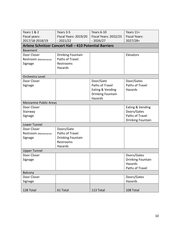| <b>Years 1 &amp; 2</b>                                 | Years 3-5                | Years 6-10            | Years 11+                      |  |  |  |
|--------------------------------------------------------|--------------------------|-----------------------|--------------------------------|--|--|--|
| Fiscal years:                                          | Fiscal Years: 2019/20    | Fiscal Years: 2022/23 | <b>Fiscal Years:</b>           |  |  |  |
| 2017/18-2018/19                                        | $-2021/22$               | $-2026/27$            | $2027/28+$                     |  |  |  |
| Arlene Schnitzer Concert Hall - 410 Potential Barriers |                          |                       |                                |  |  |  |
| <b>Basement</b>                                        |                          |                       |                                |  |  |  |
| Door Closer                                            | <b>Drinking Fountain</b> |                       | Elevators                      |  |  |  |
| Restroom (Maintenance)                                 | Paths of Travel          |                       |                                |  |  |  |
| Signage                                                | Restrooms                |                       |                                |  |  |  |
|                                                        | Hazards                  |                       |                                |  |  |  |
|                                                        |                          |                       |                                |  |  |  |
| Orchestra Level                                        |                          |                       |                                |  |  |  |
| Door Closer                                            |                          | Door/Gate             | Door/Gates                     |  |  |  |
| Signage                                                |                          | Paths of Travel       | Paths of Travel                |  |  |  |
|                                                        |                          | Eating & Vending      | Hazards                        |  |  |  |
|                                                        |                          | Drinking Fountain     |                                |  |  |  |
|                                                        |                          | Hazards               |                                |  |  |  |
| <b>Mezzanine Public Areas</b>                          |                          |                       |                                |  |  |  |
| Door Closer                                            |                          |                       | Eating & Vending               |  |  |  |
| Stairway                                               |                          |                       | Doors/Gates<br>Paths of Travel |  |  |  |
| Signage                                                |                          |                       | Drinking Fountain              |  |  |  |
| Lower Tunnel                                           |                          |                       |                                |  |  |  |
| Door Closer                                            | Doors/Gate               |                       |                                |  |  |  |
| Restroom (Maintenance)                                 | Paths of Travel          |                       |                                |  |  |  |
| Signage                                                | Drinking Fountain        |                       |                                |  |  |  |
|                                                        | Restrooms                |                       |                                |  |  |  |
|                                                        | Hazards                  |                       |                                |  |  |  |
| <b>Upper Tunnel</b>                                    |                          |                       |                                |  |  |  |
| Door Closer                                            |                          |                       | Doors/Gates                    |  |  |  |
| Signage                                                |                          |                       | <b>Drinking Fountain</b>       |  |  |  |
|                                                        |                          |                       | Hazards                        |  |  |  |
|                                                        |                          |                       | Paths of Travel                |  |  |  |
| Balcony                                                |                          |                       |                                |  |  |  |
| Door Closer                                            |                          |                       | Doors/Gates                    |  |  |  |
| Signage                                                |                          |                       | Hazards                        |  |  |  |
|                                                        |                          |                       |                                |  |  |  |
| 128 Total                                              | 61 Total                 | 113 Total             | 108 Total                      |  |  |  |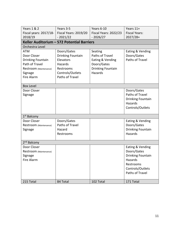| <b>Years 1 &amp; 2</b>                     | Years 3-5                | Years 6-10               | Years 11+                |  |  |
|--------------------------------------------|--------------------------|--------------------------|--------------------------|--|--|
| Fiscal years: 2017/18-                     | Fiscal Years: 2019/20    | Fiscal Years: 2022/23    | <b>Fiscal Years:</b>     |  |  |
| 2018/19                                    | $-2021/22$               | $-2026/27$               | $2027/28+$               |  |  |
| Keller Auditorium - 572 Potential Barriers |                          |                          |                          |  |  |
| Orchestra Level                            |                          |                          |                          |  |  |
| <b>ATM</b>                                 | Doors/Gates              | Seating                  | Eating & Vending         |  |  |
| Door Closer                                | <b>Drinking Fountain</b> | Paths of Travel          | Doors/Gates              |  |  |
| <b>Drinking Fountain</b>                   | Elevators                | Eating & Vending         | Paths of Travel          |  |  |
| Path of Travel                             | Hazards                  | Doors/Gates              |                          |  |  |
| Restroom (Maintenance)                     | Restrooms                | <b>Drinking Fountain</b> |                          |  |  |
| Signage                                    | Controls/Outlets         | Hazards                  |                          |  |  |
| Fire Alarm                                 | Paths of Travel          |                          |                          |  |  |
|                                            |                          |                          |                          |  |  |
| <b>Box Level</b>                           |                          |                          |                          |  |  |
| Door Closer                                |                          |                          | Doors/Gates              |  |  |
| Signage                                    |                          |                          | Paths of Travel          |  |  |
|                                            |                          |                          | Drinking Fountain        |  |  |
|                                            |                          |                          | Hazards                  |  |  |
|                                            |                          |                          | Controls/Outlets         |  |  |
|                                            |                          |                          |                          |  |  |
| 1 <sup>st</sup> Balcony                    |                          |                          |                          |  |  |
| Door Closer                                | Doors/Gates              |                          | Eating & Vending         |  |  |
| Restroom (Maintenance)                     | Paths of Travel          |                          | Doors/Gates              |  |  |
| Signage                                    | Hazard                   |                          | <b>Drinking Fountain</b> |  |  |
|                                            | Restrooms                |                          | Hazards                  |  |  |
|                                            |                          |                          |                          |  |  |
| 2 <sup>nd</sup> Balcony                    |                          |                          |                          |  |  |
| Door Closer                                |                          |                          | Eating & Vending         |  |  |
| Restroom (Maintenance)                     |                          |                          | Doors/Gates              |  |  |
| Signage                                    |                          |                          | <b>Drinking Fountain</b> |  |  |
| Fire Alarm                                 |                          |                          | Hazards                  |  |  |
|                                            |                          |                          | Restrooms                |  |  |
|                                            |                          |                          | Controls/Outlets         |  |  |
|                                            |                          |                          | Paths of Travel          |  |  |
|                                            |                          |                          |                          |  |  |
| 215 Total                                  | 84 Total                 | 102 Total                | 171 Total                |  |  |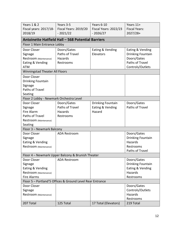| <b>Years 1 &amp; 2</b>                                    | Years 3-5                                         | Years 6-10            | Years 11+                |  |  |
|-----------------------------------------------------------|---------------------------------------------------|-----------------------|--------------------------|--|--|
| Fiscal years: 2017/18-                                    | Fiscal Years: 2019/20                             | Fiscal Years: 2022/23 | <b>Fiscal Years:</b>     |  |  |
| 2018/19                                                   | $-2021/22$                                        | $-2026/27$            | $2027/28+$               |  |  |
| <b>Antoinette Hatfield Hall - 568 Potential Barriers</b>  |                                                   |                       |                          |  |  |
| Floor 1 Main Entrance Lobby                               |                                                   |                       |                          |  |  |
| Door Closer                                               | Doors/Gates                                       | Eating & Vending      | Eating & Vending         |  |  |
| Signage                                                   | Paths of Travel                                   | Elevators             | Drinking Fountain        |  |  |
| Restroom (Maintenance)                                    | Hazards                                           |                       | Doors/Gates              |  |  |
| Eating & Vending                                          | Restrooms                                         |                       | Paths of Travel          |  |  |
| <b>ATM</b>                                                |                                                   |                       | Controls/Outlets         |  |  |
| Winningstad Theater All Floors                            |                                                   |                       |                          |  |  |
| Door Closer                                               |                                                   |                       |                          |  |  |
| Drinking Fountain                                         |                                                   |                       |                          |  |  |
| Signage                                                   |                                                   |                       |                          |  |  |
| Paths of Travel                                           |                                                   |                       |                          |  |  |
| Seating                                                   |                                                   |                       |                          |  |  |
| Floor 2 Lobby - Newmark Orchestra Level                   |                                                   |                       |                          |  |  |
| Door Closer                                               | Doors/Gates                                       | Drinking Fountain     | Doors/Gates              |  |  |
| Signage                                                   | Paths of Travel                                   | Eating & Vending      | Paths of Travel          |  |  |
| Fire Alarm                                                | Hazards                                           | Hazard                |                          |  |  |
| Paths of Travel                                           | Restrooms                                         |                       |                          |  |  |
| Restroom (Maintenance)                                    |                                                   |                       |                          |  |  |
| Seating                                                   |                                                   |                       |                          |  |  |
| Floor 3 - Newmark Balcony                                 |                                                   |                       |                          |  |  |
| Door Closer                                               | <b>ADA Restroom</b>                               |                       | Doors/Gates              |  |  |
| Signage                                                   |                                                   |                       | Drinking Fountain        |  |  |
| Eating & Vending                                          |                                                   |                       | Hazards                  |  |  |
| Restroom (Maintenance)                                    |                                                   |                       | Restrooms                |  |  |
|                                                           |                                                   |                       | Paths of Travel          |  |  |
|                                                           | Floor 4 - Newmark Upper Balcony & Brunish Theater |                       |                          |  |  |
| Door Closer                                               | <b>ADA Restroom</b>                               |                       | Doors/Gates              |  |  |
| Signage                                                   |                                                   |                       | <b>Drinking Fountain</b> |  |  |
| Eating & Vending                                          |                                                   |                       | Eating & Vending         |  |  |
| Restroom (Maintenance)                                    |                                                   |                       | Hazards                  |  |  |
| <b>Fire Alarms</b>                                        |                                                   |                       | Restrooms                |  |  |
| Floor 5 - Portland'5 Offices & Ground Level Rear Entrance |                                                   |                       |                          |  |  |
| Door Closer                                               |                                                   |                       | Doors/Gates              |  |  |
| Signage                                                   |                                                   |                       | Controls/Outlets         |  |  |
| Restroom (Maintenance)                                    |                                                   |                       | Hazards                  |  |  |
|                                                           |                                                   |                       | Restrooms                |  |  |
| 207 Total                                                 | 125 Total                                         | 17 Total (Elevators)  | 219 Total                |  |  |